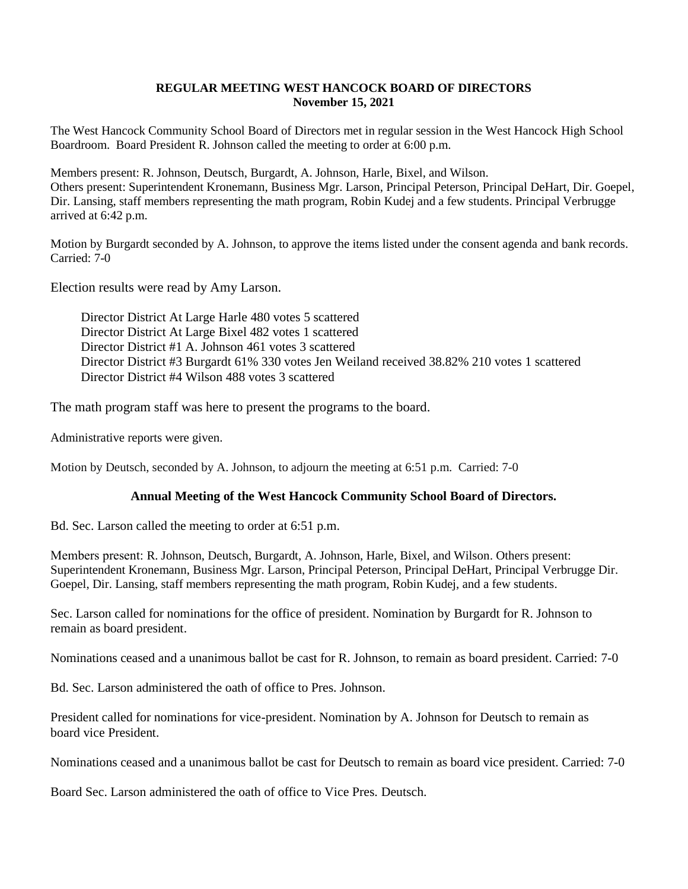## **REGULAR MEETING WEST HANCOCK BOARD OF DIRECTORS November 15, 2021**

The West Hancock Community School Board of Directors met in regular session in the West Hancock High School Boardroom. Board President R. Johnson called the meeting to order at 6:00 p.m.

Members present: R. Johnson, Deutsch, Burgardt, A. Johnson, Harle, Bixel, and Wilson. Others present: Superintendent Kronemann, Business Mgr. Larson, Principal Peterson, Principal DeHart, Dir. Goepel, Dir. Lansing, staff members representing the math program, Robin Kudej and a few students. Principal Verbrugge arrived at 6:42 p.m.

Motion by Burgardt seconded by A. Johnson, to approve the items listed under the consent agenda and bank records. Carried: 7-0

Election results were read by Amy Larson.

Director District At Large Harle 480 votes 5 scattered Director District At Large Bixel 482 votes 1 scattered Director District #1 A. Johnson 461 votes 3 scattered Director District #3 Burgardt 61% 330 votes Jen Weiland received 38.82% 210 votes 1 scattered Director District #4 Wilson 488 votes 3 scattered

The math program staff was here to present the programs to the board.

Administrative reports were given.

Motion by Deutsch, seconded by A. Johnson, to adjourn the meeting at 6:51 p.m. Carried: 7-0

## **Annual Meeting of the West Hancock Community School Board of Directors.**

Bd. Sec. Larson called the meeting to order at 6:51 p.m.

Members present: R. Johnson, Deutsch, Burgardt, A. Johnson, Harle, Bixel, and Wilson. Others present: Superintendent Kronemann, Business Mgr. Larson, Principal Peterson, Principal DeHart, Principal Verbrugge Dir. Goepel, Dir. Lansing, staff members representing the math program, Robin Kudej, and a few students.

Sec. Larson called for nominations for the office of president. Nomination by Burgardt for R. Johnson to remain as board president.

Nominations ceased and a unanimous ballot be cast for R. Johnson, to remain as board president. Carried: 7-0

Bd. Sec. Larson administered the oath of office to Pres. Johnson.

President called for nominations for vice-president. Nomination by A. Johnson for Deutsch to remain as board vice President.

Nominations ceased and a unanimous ballot be cast for Deutsch to remain as board vice president. Carried: 7-0

Board Sec. Larson administered the oath of office to Vice Pres. Deutsch.